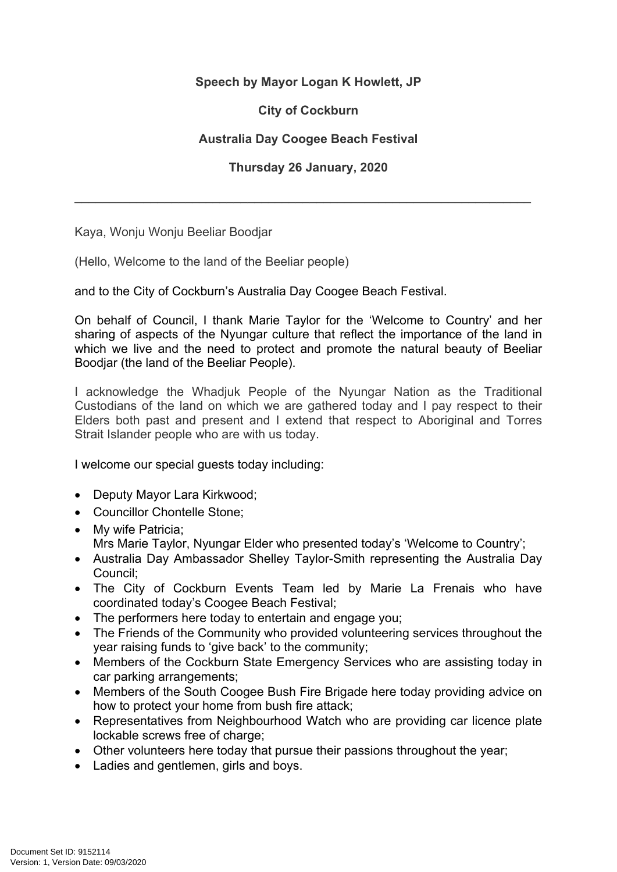## **Speech by Mayor Logan K Howlett, JP**

## **City of Cockburn**

## **Australia Day Coogee Beach Festival**

## **Thursday 26 January, 2020**

\_\_\_\_\_\_\_\_\_\_\_\_\_\_\_\_\_\_\_\_\_\_\_\_\_\_\_\_\_\_\_\_\_\_\_\_\_\_\_\_\_\_\_\_\_\_\_\_\_\_\_\_\_\_\_\_\_\_\_\_\_\_\_\_\_\_

Kaya, Wonju Wonju Beeliar Boodjar

(Hello, Welcome to the land of the Beeliar people)

and to the City of Cockburn's Australia Day Coogee Beach Festival.

On behalf of Council, I thank Marie Taylor for the 'Welcome to Country' and her sharing of aspects of the Nyungar culture that reflect the importance of the land in which we live and the need to protect and promote the natural beauty of Beeliar Boodjar (the land of the Beeliar People).

I acknowledge the Whadjuk People of the Nyungar Nation as the Traditional Custodians of the land on which we are gathered today and I pay respect to their Elders both past and present and I extend that respect to Aboriginal and Torres Strait Islander people who are with us today.

I welcome our special guests today including:

- Deputy Mayor Lara Kirkwood;
- Councillor Chontelle Stone;
- My wife Patricia:
	- Mrs Marie Taylor, Nyungar Elder who presented today's 'Welcome to Country';
- Australia Day Ambassador Shelley Taylor-Smith representing the Australia Day Council;
- The City of Cockburn Events Team led by Marie La Frenais who have coordinated today's Coogee Beach Festival;
- The performers here today to entertain and engage you;
- The Friends of the Community who provided volunteering services throughout the year raising funds to 'give back' to the community;
- Members of the Cockburn State Emergency Services who are assisting today in car parking arrangements;
- Members of the South Coogee Bush Fire Brigade here today providing advice on how to protect your home from bush fire attack;
- Representatives from Neighbourhood Watch who are providing car licence plate lockable screws free of charge;
- Other volunteers here today that pursue their passions throughout the year;
- Ladies and gentlemen, girls and boys.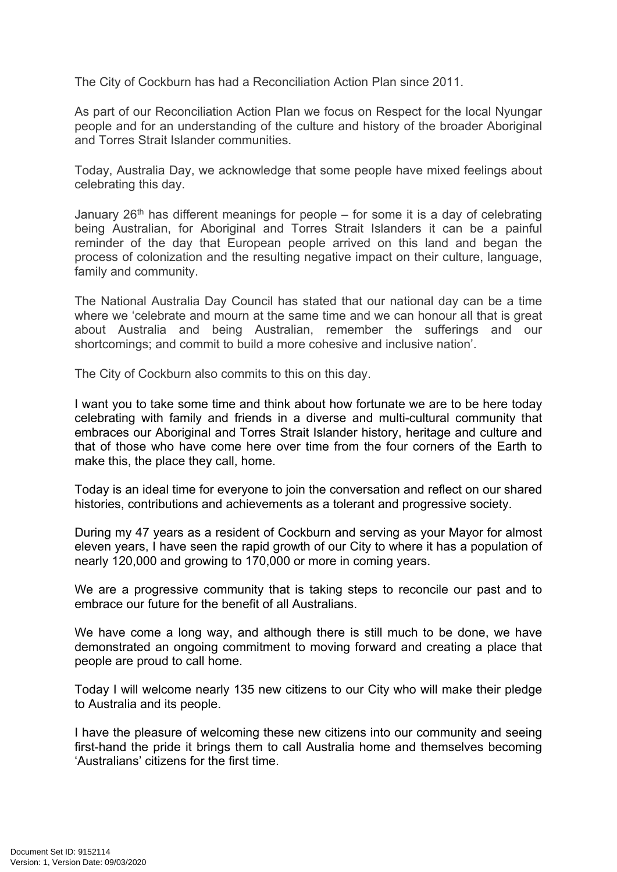The City of Cockburn has had a Reconciliation Action Plan since 2011.

As part of our Reconciliation Action Plan we focus on Respect for the local Nyungar people and for an understanding of the culture and history of the broader Aboriginal and Torres Strait Islander communities.

Today, Australia Day, we acknowledge that some people have mixed feelings about celebrating this day.

January  $26<sup>th</sup>$  has different meanings for people – for some it is a day of celebrating being Australian, for Aboriginal and Torres Strait Islanders it can be a painful reminder of the day that European people arrived on this land and began the process of colonization and the resulting negative impact on their culture, language, family and community.

The National Australia Day Council has stated that our national day can be a time where we 'celebrate and mourn at the same time and we can honour all that is great about Australia and being Australian, remember the sufferings and our shortcomings; and commit to build a more cohesive and inclusive nation'.

The City of Cockburn also commits to this on this day.

I want you to take some time and think about how fortunate we are to be here today celebrating with family and friends in a diverse and multi-cultural community that embraces our Aboriginal and Torres Strait Islander history, heritage and culture and that of those who have come here over time from the four corners of the Earth to make this, the place they call, home.

Today is an ideal time for everyone to join the conversation and reflect on our shared histories, contributions and achievements as a tolerant and progressive society.

During my 47 years as a resident of Cockburn and serving as your Mayor for almost eleven years, I have seen the rapid growth of our City to where it has a population of nearly 120,000 and growing to 170,000 or more in coming years.

We are a progressive community that is taking steps to reconcile our past and to embrace our future for the benefit of all Australians.

We have come a long way, and although there is still much to be done, we have demonstrated an ongoing commitment to moving forward and creating a place that people are proud to call home.

Today I will welcome nearly 135 new citizens to our City who will make their pledge to Australia and its people.

I have the pleasure of welcoming these new citizens into our community and seeing first-hand the pride it brings them to call Australia home and themselves becoming 'Australians' citizens for the first time.